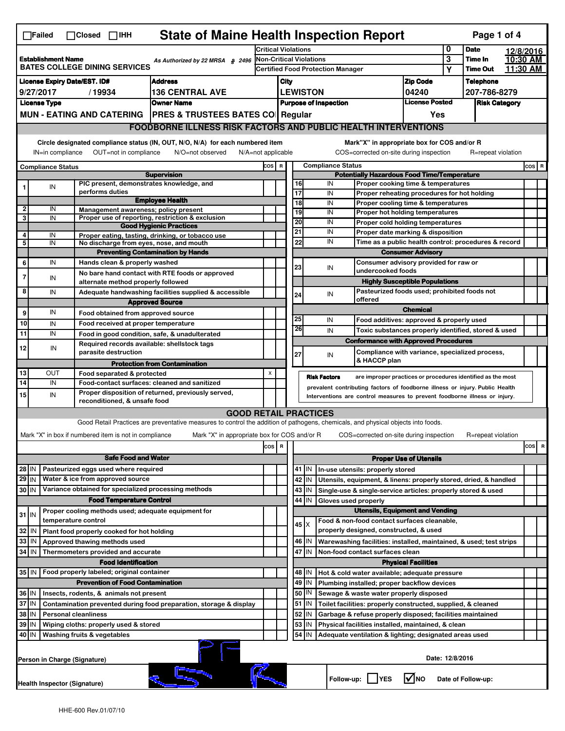|                                                                             | <b>State of Maine Health Inspection Report</b><br>Page 1 of 4<br>$\Box$ Failed<br>$\Box$ Closed $\Box$ IHH                                                                                                                                                                                |                                                                                              |                                                                                                                                   |                            |                                                                            |                                                                        |                                          |                     |                          |                                                                                                       |                                       |           |                            |  |                      |
|-----------------------------------------------------------------------------|-------------------------------------------------------------------------------------------------------------------------------------------------------------------------------------------------------------------------------------------------------------------------------------------|----------------------------------------------------------------------------------------------|-----------------------------------------------------------------------------------------------------------------------------------|----------------------------|----------------------------------------------------------------------------|------------------------------------------------------------------------|------------------------------------------|---------------------|--------------------------|-------------------------------------------------------------------------------------------------------|---------------------------------------|-----------|----------------------------|--|----------------------|
|                                                                             |                                                                                                                                                                                                                                                                                           |                                                                                              |                                                                                                                                   | <b>Critical Violations</b> |                                                                            |                                                                        |                                          |                     |                          | 0<br><b>Date</b>                                                                                      |                                       | 12/8/2016 |                            |  |                      |
|                                                                             | <b>Establishment Name</b><br>As Authorized by 22 MRSA § 2496<br><b>BATES COLLEGE DINING SERVICES</b>                                                                                                                                                                                      |                                                                                              |                                                                                                                                   |                            | <b>Non-Critical Violations</b>                                             |                                                                        |                                          |                     |                          |                                                                                                       |                                       | 3<br>Y    | Time In<br><b>Time Out</b> |  | 10:30 AM<br>11:30 AM |
|                                                                             |                                                                                                                                                                                                                                                                                           |                                                                                              |                                                                                                                                   |                            |                                                                            |                                                                        | <b>Certified Food Protection Manager</b> |                     |                          |                                                                                                       |                                       |           |                            |  |                      |
|                                                                             | <b>License Expiry Date/EST. ID#</b><br><b>Address</b><br>9/27/2017                                                                                                                                                                                                                        |                                                                                              |                                                                                                                                   |                            |                                                                            | <b>Zip Code</b><br>City                                                |                                          |                     |                          | <b>Telephone</b><br>207-786-8279                                                                      |                                       |           |                            |  |                      |
|                                                                             | <b>License Type</b>                                                                                                                                                                                                                                                                       | /19934                                                                                       | <b>136 CENTRAL AVE</b><br><b>Owner Name</b>                                                                                       |                            | <b>LEWISTON</b><br>04240<br><b>License Posted</b>                          |                                                                        |                                          |                     |                          | <b>Risk Category</b>                                                                                  |                                       |           |                            |  |                      |
|                                                                             |                                                                                                                                                                                                                                                                                           | <b>MUN - EATING AND CATERING</b>                                                             | <b>PRES &amp; TRUSTEES BATES CO Regular</b>                                                                                       |                            | <b>Purpose of Inspection</b><br>Yes                                        |                                                                        |                                          |                     |                          |                                                                                                       |                                       |           |                            |  |                      |
|                                                                             |                                                                                                                                                                                                                                                                                           |                                                                                              | <b>FOODBORNE ILLNESS RISK FACTORS AND PUBLIC HEALTH INTERVENTIONS</b>                                                             |                            |                                                                            |                                                                        |                                          |                     |                          |                                                                                                       |                                       |           |                            |  |                      |
|                                                                             |                                                                                                                                                                                                                                                                                           |                                                                                              |                                                                                                                                   |                            |                                                                            |                                                                        |                                          |                     |                          |                                                                                                       |                                       |           |                            |  |                      |
|                                                                             | Circle designated compliance status (IN, OUT, N/O, N/A) for each numbered item<br>Mark"X" in appropriate box for COS and/or R<br>OUT=not in compliance<br>COS=corrected on-site during inspection<br>IN=in compliance<br>N/O=not observed<br>$N/A = not$ applicable<br>R=repeat violation |                                                                                              |                                                                                                                                   |                            |                                                                            |                                                                        |                                          |                     |                          |                                                                                                       |                                       |           |                            |  |                      |
|                                                                             |                                                                                                                                                                                                                                                                                           |                                                                                              |                                                                                                                                   | COS R                      |                                                                            |                                                                        |                                          |                     | <b>Compliance Status</b> |                                                                                                       |                                       |           |                            |  | $cos$ R              |
|                                                                             | <b>Compliance Status</b>                                                                                                                                                                                                                                                                  |                                                                                              | <b>Supervision</b>                                                                                                                |                            |                                                                            |                                                                        |                                          |                     |                          | <b>Potentially Hazardous Food Time/Temperature</b>                                                    |                                       |           |                            |  |                      |
|                                                                             | IN                                                                                                                                                                                                                                                                                        | PIC present, demonstrates knowledge, and                                                     |                                                                                                                                   |                            |                                                                            |                                                                        | 16                                       |                     | IN                       | Proper cooking time & temperatures                                                                    |                                       |           |                            |  |                      |
|                                                                             |                                                                                                                                                                                                                                                                                           | performs duties                                                                              | <b>Employee Health</b>                                                                                                            |                            |                                                                            |                                                                        | 17                                       |                     | IN                       | Proper reheating procedures for hot holding                                                           |                                       |           |                            |  |                      |
| $\mathbf{2}$                                                                | IN                                                                                                                                                                                                                                                                                        | Management awareness; policy present                                                         |                                                                                                                                   |                            |                                                                            |                                                                        | 18                                       |                     | IN                       | Proper cooling time & temperatures                                                                    |                                       |           |                            |  |                      |
| 3                                                                           | IN                                                                                                                                                                                                                                                                                        |                                                                                              | Proper use of reporting, restriction & exclusion                                                                                  |                            |                                                                            |                                                                        | 19<br>20                                 |                     | IN<br>IN                 | <b>Proper hot holding temperatures</b>                                                                |                                       |           |                            |  |                      |
|                                                                             |                                                                                                                                                                                                                                                                                           |                                                                                              | <b>Good Hygienic Practices</b>                                                                                                    |                            |                                                                            |                                                                        | 21                                       |                     | IN                       | Proper cold holding temperatures<br>Proper date marking & disposition                                 |                                       |           |                            |  |                      |
| 4<br>5                                                                      | IN<br>IN                                                                                                                                                                                                                                                                                  | No discharge from eyes, nose, and mouth                                                      | Proper eating, tasting, drinking, or tobacco use                                                                                  |                            |                                                                            |                                                                        | 22                                       |                     | IN                       | Time as a public health control: procedures & record                                                  |                                       |           |                            |  |                      |
|                                                                             |                                                                                                                                                                                                                                                                                           |                                                                                              | <b>Preventing Contamination by Hands</b>                                                                                          |                            |                                                                            |                                                                        |                                          |                     |                          |                                                                                                       | <b>Consumer Advisory</b>              |           |                            |  |                      |
| 6                                                                           | IN                                                                                                                                                                                                                                                                                        | Hands clean & properly washed                                                                |                                                                                                                                   |                            |                                                                            |                                                                        |                                          |                     |                          | Consumer advisory provided for raw or                                                                 |                                       |           |                            |  |                      |
|                                                                             |                                                                                                                                                                                                                                                                                           |                                                                                              | No bare hand contact with RTE foods or approved                                                                                   |                            |                                                                            |                                                                        | 23                                       |                     | IN                       | undercooked foods                                                                                     |                                       |           |                            |  |                      |
|                                                                             | IN                                                                                                                                                                                                                                                                                        | alternate method properly followed                                                           |                                                                                                                                   |                            |                                                                            |                                                                        |                                          |                     |                          |                                                                                                       | <b>Highly Susceptible Populations</b> |           |                            |  |                      |
| 8                                                                           | IN                                                                                                                                                                                                                                                                                        |                                                                                              | Adequate handwashing facilities supplied & accessible                                                                             |                            |                                                                            |                                                                        | 24                                       |                     | IN                       | Pasteurized foods used; prohibited foods not<br>offered                                               |                                       |           |                            |  |                      |
|                                                                             |                                                                                                                                                                                                                                                                                           |                                                                                              | <b>Approved Source</b>                                                                                                            |                            |                                                                            |                                                                        |                                          |                     |                          |                                                                                                       | <b>Chemical</b>                       |           |                            |  |                      |
| 9                                                                           | IN                                                                                                                                                                                                                                                                                        | Food obtained from approved source                                                           |                                                                                                                                   |                            |                                                                            |                                                                        | 25                                       |                     | IN                       | Food additives: approved & properly used                                                              |                                       |           |                            |  |                      |
| 10<br>11                                                                    | IN<br>IN                                                                                                                                                                                                                                                                                  | Food received at proper temperature                                                          |                                                                                                                                   |                            |                                                                            |                                                                        | 26                                       |                     | IN                       | Toxic substances properly identified, stored & used                                                   |                                       |           |                            |  |                      |
|                                                                             |                                                                                                                                                                                                                                                                                           | Food in good condition, safe, & unadulterated<br>Required records available: shellstock tags |                                                                                                                                   |                            |                                                                            |                                                                        |                                          |                     |                          | <b>Conformance with Approved Procedures</b>                                                           |                                       |           |                            |  |                      |
| 12                                                                          | IN                                                                                                                                                                                                                                                                                        | parasite destruction                                                                         |                                                                                                                                   |                            |                                                                            |                                                                        | 27                                       |                     | IN                       | Compliance with variance, specialized process,                                                        |                                       |           |                            |  |                      |
|                                                                             |                                                                                                                                                                                                                                                                                           |                                                                                              | <b>Protection from Contamination</b>                                                                                              |                            |                                                                            |                                                                        |                                          |                     |                          | & HACCP plan                                                                                          |                                       |           |                            |  |                      |
| 13                                                                          | OUT                                                                                                                                                                                                                                                                                       | Food separated & protected                                                                   |                                                                                                                                   | X                          |                                                                            |                                                                        |                                          | <b>Risk Factors</b> |                          | are improper practices or procedures identified as the most                                           |                                       |           |                            |  |                      |
| 14                                                                          | IN                                                                                                                                                                                                                                                                                        | Food-contact surfaces: cleaned and sanitized                                                 |                                                                                                                                   |                            |                                                                            |                                                                        |                                          |                     |                          | prevalent contributing factors of foodborne illness or injury. Public Health                          |                                       |           |                            |  |                      |
| 15                                                                          | IN                                                                                                                                                                                                                                                                                        | reconditioned, & unsafe food                                                                 | Proper disposition of returned, previously served,                                                                                |                            | Interventions are control measures to prevent foodborne illness or injury. |                                                                        |                                          |                     |                          |                                                                                                       |                                       |           |                            |  |                      |
|                                                                             |                                                                                                                                                                                                                                                                                           |                                                                                              | <b>GOOD RETAIL PRACTICES</b>                                                                                                      |                            |                                                                            |                                                                        |                                          |                     |                          |                                                                                                       |                                       |           |                            |  |                      |
|                                                                             |                                                                                                                                                                                                                                                                                           |                                                                                              | Good Retail Practices are preventative measures to control the addition of pathogens, chemicals, and physical objects into foods. |                            |                                                                            |                                                                        |                                          |                     |                          |                                                                                                       |                                       |           |                            |  |                      |
|                                                                             |                                                                                                                                                                                                                                                                                           | Mark "X" in box if numbered item is not in compliance                                        | Mark "X" in appropriate box for COS and/or R                                                                                      |                            |                                                                            |                                                                        |                                          |                     |                          | COS=corrected on-site during inspection                                                               |                                       |           | R=repeat violation         |  |                      |
|                                                                             |                                                                                                                                                                                                                                                                                           |                                                                                              |                                                                                                                                   | COS R                      |                                                                            |                                                                        |                                          |                     |                          |                                                                                                       |                                       |           |                            |  | cosl<br>R            |
|                                                                             |                                                                                                                                                                                                                                                                                           | <b>Safe Food and Water</b>                                                                   |                                                                                                                                   |                            |                                                                            |                                                                        |                                          |                     |                          |                                                                                                       | <b>Proper Use of Utensils</b>         |           |                            |  |                      |
| 28 IN                                                                       |                                                                                                                                                                                                                                                                                           | Pasteurized eggs used where required                                                         |                                                                                                                                   |                            |                                                                            |                                                                        | 41   IN                                  |                     |                          | In-use utensils: properly stored                                                                      |                                       |           |                            |  |                      |
| $29$ IN                                                                     |                                                                                                                                                                                                                                                                                           | Water & ice from approved source                                                             |                                                                                                                                   |                            |                                                                            |                                                                        | 42<br>IN                                 |                     |                          | Utensils, equipment, & linens: properly stored, dried, & handled                                      |                                       |           |                            |  |                      |
| 30 IN                                                                       |                                                                                                                                                                                                                                                                                           | Variance obtained for specialized processing methods                                         |                                                                                                                                   |                            |                                                                            |                                                                        | 43<br>IN                                 |                     |                          | Single-use & single-service articles: properly stored & used                                          |                                       |           |                            |  |                      |
|                                                                             |                                                                                                                                                                                                                                                                                           | <b>Food Temperature Control</b>                                                              |                                                                                                                                   |                            |                                                                            | 44<br>IN<br>Gloves used properly                                       |                                          |                     |                          |                                                                                                       |                                       |           |                            |  |                      |
| $31$ IN                                                                     |                                                                                                                                                                                                                                                                                           | Proper cooling methods used; adequate equipment for                                          |                                                                                                                                   |                            |                                                                            | <b>Utensils, Equipment and Vending</b>                                 |                                          |                     |                          |                                                                                                       |                                       |           |                            |  |                      |
| 32                                                                          |                                                                                                                                                                                                                                                                                           | temperature control                                                                          |                                                                                                                                   |                            |                                                                            |                                                                        | 45   X                                   |                     |                          | Food & non-food contact surfaces cleanable,<br>properly designed, constructed, & used                 |                                       |           |                            |  |                      |
|                                                                             | IN                                                                                                                                                                                                                                                                                        | Plant food properly cooked for hot holding                                                   |                                                                                                                                   |                            |                                                                            |                                                                        |                                          |                     |                          |                                                                                                       |                                       |           |                            |  |                      |
| 33<br>34 IN                                                                 | IN                                                                                                                                                                                                                                                                                        | Approved thawing methods used<br>Thermometers provided and accurate                          |                                                                                                                                   |                            |                                                                            |                                                                        | 46<br>IN<br>47 IN                        |                     |                          | Warewashing facilities: installed, maintained, & used; test strips<br>Non-food contact surfaces clean |                                       |           |                            |  |                      |
|                                                                             |                                                                                                                                                                                                                                                                                           | <b>Food Identification</b>                                                                   |                                                                                                                                   |                            |                                                                            |                                                                        |                                          |                     |                          |                                                                                                       | <b>Physical Facilities</b>            |           |                            |  |                      |
| 35 IN                                                                       |                                                                                                                                                                                                                                                                                           | Food properly labeled; original container                                                    |                                                                                                                                   |                            |                                                                            |                                                                        | 48   IN                                  |                     |                          | Hot & cold water available; adequate pressure                                                         |                                       |           |                            |  |                      |
|                                                                             |                                                                                                                                                                                                                                                                                           | <b>Prevention of Food Contamination</b>                                                      |                                                                                                                                   |                            |                                                                            |                                                                        | 49<br>IN                                 |                     |                          | Plumbing installed; proper backflow devices                                                           |                                       |           |                            |  |                      |
| 36 IN                                                                       |                                                                                                                                                                                                                                                                                           | Insects, rodents, & animals not present                                                      |                                                                                                                                   |                            |                                                                            |                                                                        | 50   IN                                  |                     |                          | Sewage & waste water properly disposed                                                                |                                       |           |                            |  |                      |
| 37 IN<br>Contamination prevented during food preparation, storage & display |                                                                                                                                                                                                                                                                                           |                                                                                              |                                                                                                                                   |                            |                                                                            | $51$ M<br>Toilet facilities: properly constructed, supplied, & cleaned |                                          |                     |                          |                                                                                                       |                                       |           |                            |  |                      |
| 38 IN<br><b>Personal cleanliness</b>                                        |                                                                                                                                                                                                                                                                                           |                                                                                              |                                                                                                                                   |                            |                                                                            | 52<br>IN<br>Garbage & refuse properly disposed; facilities maintained  |                                          |                     |                          |                                                                                                       |                                       |           |                            |  |                      |
| 39<br>ΙN<br>Wiping cloths: properly used & stored                           |                                                                                                                                                                                                                                                                                           |                                                                                              |                                                                                                                                   |                            |                                                                            | 53<br>IN<br>Physical facilities installed, maintained, & clean         |                                          |                     |                          |                                                                                                       |                                       |           |                            |  |                      |
|                                                                             | 54<br>40 IN<br>Washing fruits & vegetables<br>IN<br>Adequate ventilation & lighting; designated areas used                                                                                                                                                                                |                                                                                              |                                                                                                                                   |                            |                                                                            |                                                                        |                                          |                     |                          |                                                                                                       |                                       |           |                            |  |                      |
|                                                                             | Date: 12/8/2016<br>Person in Charge (Signature)                                                                                                                                                                                                                                           |                                                                                              |                                                                                                                                   |                            |                                                                            |                                                                        |                                          |                     |                          |                                                                                                       |                                       |           |                            |  |                      |
|                                                                             | l√lno<br>Follow-up:     YES<br>Date of Follow-up:<br>Health Inspector (Signature)                                                                                                                                                                                                         |                                                                                              |                                                                                                                                   |                            |                                                                            |                                                                        |                                          |                     |                          |                                                                                                       |                                       |           |                            |  |                      |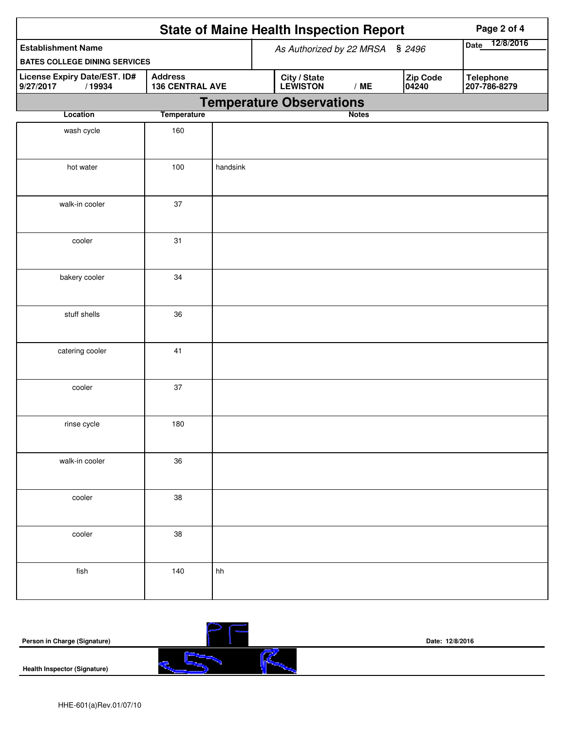| <b>State of Maine Health Inspection Report</b><br>Page 2 of 4                                   |                    |          |                                                      |                                  |  |  |  |
|-------------------------------------------------------------------------------------------------|--------------------|----------|------------------------------------------------------|----------------------------------|--|--|--|
| <b>Establishment Name</b>                                                                       |                    |          | As Authorized by 22 MRSA § 2496                      | 12/8/2016<br><b>Date</b>         |  |  |  |
| <b>BATES COLLEGE DINING SERVICES</b>                                                            |                    |          |                                                      |                                  |  |  |  |
| <b>Address</b><br>License Expiry Date/EST. ID#<br><b>136 CENTRAL AVE</b><br>9/27/2017<br>/19934 |                    |          | Zip Code<br>City / State<br>LEWISTON<br>/ME<br>04240 | <b>Telephone</b><br>207-786-8279 |  |  |  |
|                                                                                                 |                    |          | <b>Temperature Observations</b>                      |                                  |  |  |  |
| Location                                                                                        | <b>Temperature</b> |          | <b>Notes</b>                                         |                                  |  |  |  |
| wash cycle                                                                                      | 160                |          |                                                      |                                  |  |  |  |
| hot water                                                                                       | 100                | handsink |                                                      |                                  |  |  |  |
| walk-in cooler                                                                                  | 37                 |          |                                                      |                                  |  |  |  |
| cooler                                                                                          | 31                 |          |                                                      |                                  |  |  |  |
| bakery cooler                                                                                   | 34                 |          |                                                      |                                  |  |  |  |
| stuff shells                                                                                    | 36                 |          |                                                      |                                  |  |  |  |
| catering cooler                                                                                 | 41                 |          |                                                      |                                  |  |  |  |
| cooler                                                                                          | 37                 |          |                                                      |                                  |  |  |  |
| rinse cycle                                                                                     | 180                |          |                                                      |                                  |  |  |  |
| walk-in cooler                                                                                  | 36                 |          |                                                      |                                  |  |  |  |
| cooler                                                                                          | 38                 |          |                                                      |                                  |  |  |  |
| cooler                                                                                          | 38                 |          |                                                      |                                  |  |  |  |
| fish                                                                                            | 140                | hh       |                                                      |                                  |  |  |  |

| Person in Charge (Signature)        |   | Date: 12/8/2016 |  |  |  |
|-------------------------------------|---|-----------------|--|--|--|
| <b>Health Inspector (Signature)</b> | - |                 |  |  |  |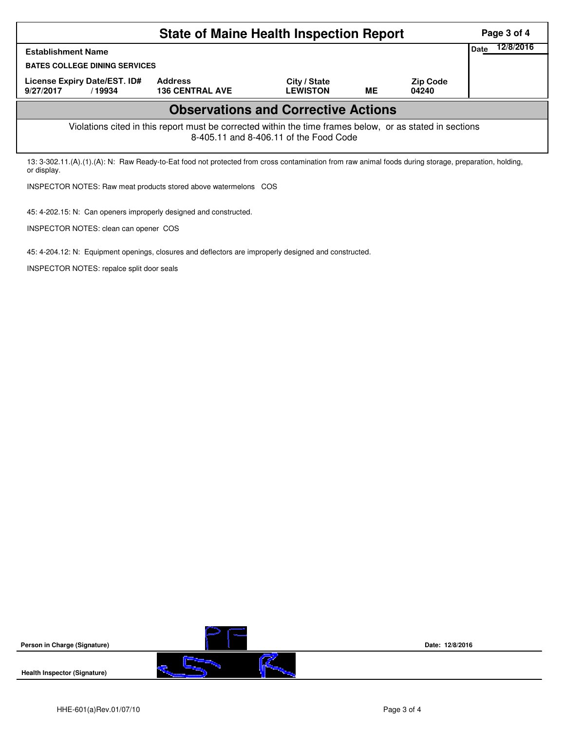|                                                                                                                                                                      | Page 3 of 4                              |                                 |    |                          |  |  |  |  |
|----------------------------------------------------------------------------------------------------------------------------------------------------------------------|------------------------------------------|---------------------------------|----|--------------------------|--|--|--|--|
| <b>Establishment Name</b>                                                                                                                                            | 12/8/2016<br>Date                        |                                 |    |                          |  |  |  |  |
| <b>BATES COLLEGE DINING SERVICES</b>                                                                                                                                 |                                          |                                 |    |                          |  |  |  |  |
| License Expiry Date/EST. ID#<br>9/27/2017<br>/19934                                                                                                                  | <b>Address</b><br><b>136 CENTRAL AVE</b> | City / State<br><b>LEWISTON</b> | ME | <b>Zip Code</b><br>04240 |  |  |  |  |
| <b>Observations and Corrective Actions</b>                                                                                                                           |                                          |                                 |    |                          |  |  |  |  |
| Violations cited in this report must be corrected within the time frames below, or as stated in sections<br>8-405.11 and 8-406.11 of the Food Code                   |                                          |                                 |    |                          |  |  |  |  |
| 13: 3-302.11.(A).(1).(A): N: Raw Ready-to-Eat food not protected from cross contamination from raw animal foods during storage, preparation, holding,<br>or display. |                                          |                                 |    |                          |  |  |  |  |
| INSPECTOR NOTES: Raw meat products stored above watermelons COS                                                                                                      |                                          |                                 |    |                          |  |  |  |  |
| 45: 4-202.15: N: Can openers improperly designed and constructed.                                                                                                    |                                          |                                 |    |                          |  |  |  |  |

45: 4-204.12: N: Equipment openings, closures and deflectors are improperly designed and constructed.

INSPECTOR NOTES: repalce split door seals

INSPECTOR NOTES: clean can opener COS